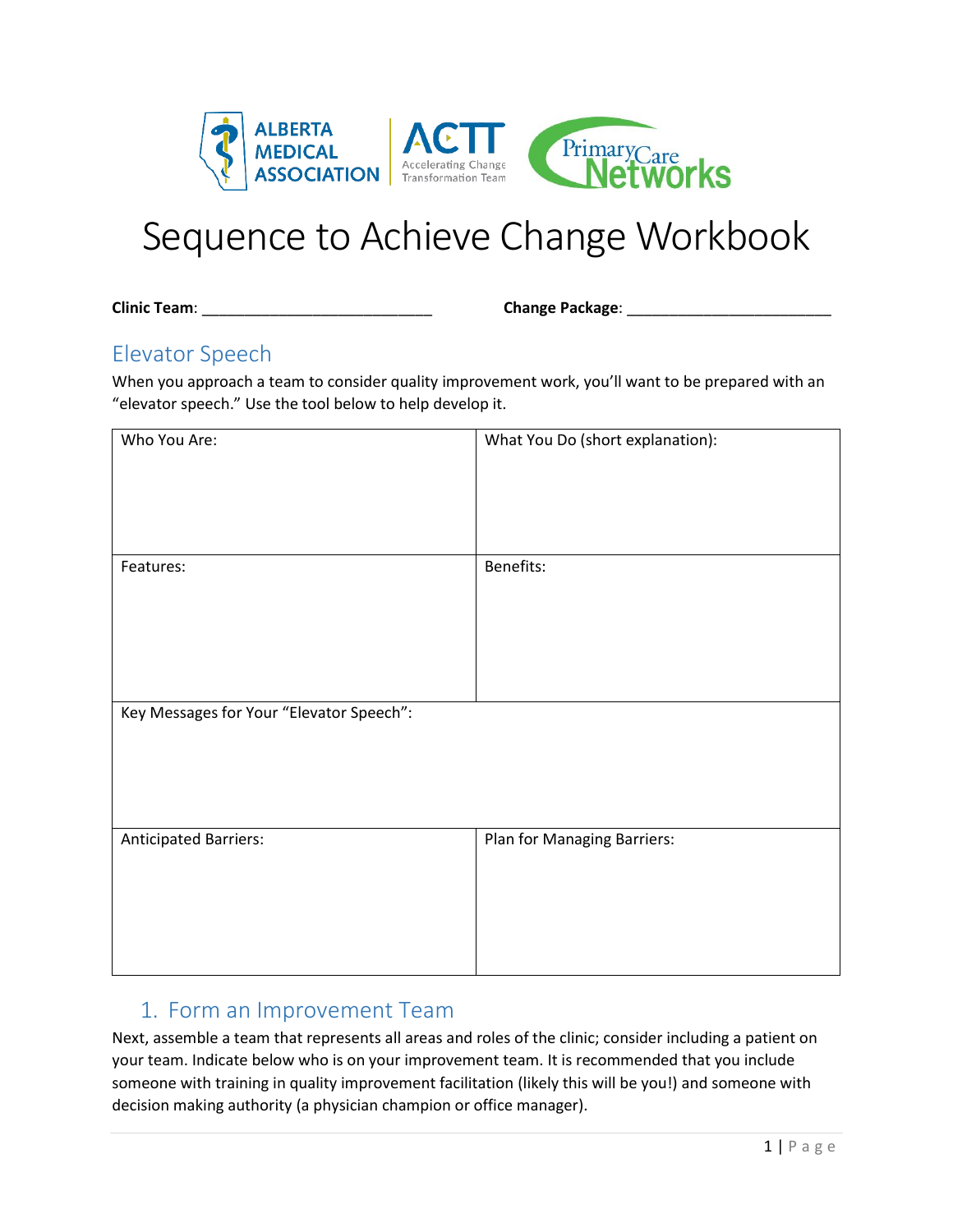

# Sequence to Achieve Change Workbook

**Clinic Team**: \_\_\_\_\_\_\_\_\_\_\_\_\_\_\_\_\_\_\_\_\_\_\_\_\_\_\_ **Change Package**: \_\_\_\_\_\_\_\_\_\_\_\_\_\_\_\_\_\_\_\_\_\_\_\_

## Elevator Speech

When you approach a team to consider quality improvement work, you'll want to be prepared with an "elevator speech." Use the tool below to help develop it.

| Who You Are:                             | What You Do (short explanation): |
|------------------------------------------|----------------------------------|
|                                          |                                  |
| Features:                                | Benefits:                        |
| Key Messages for Your "Elevator Speech": |                                  |
| <b>Anticipated Barriers:</b>             | Plan for Managing Barriers:      |

## 1. Form an Improvement Team

Next, assemble a team that represents all areas and roles of the clinic; consider including a patient on your team. Indicate below who is on your improvement team. It is recommended that you include someone with training in quality improvement facilitation (likely this will be you!) and someone with decision making authority (a physician champion or office manager).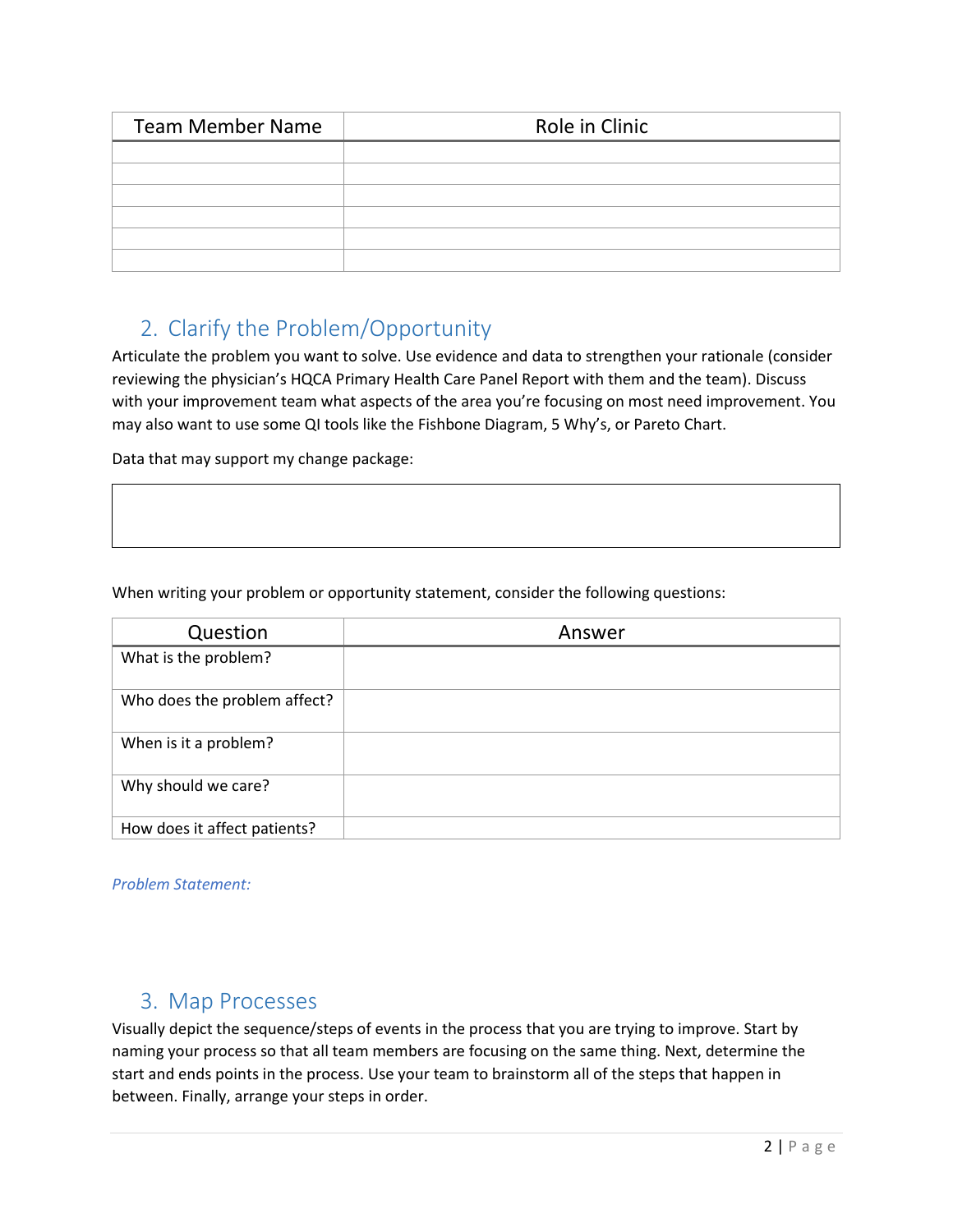| <b>Team Member Name</b> | Role in Clinic |  |
|-------------------------|----------------|--|
|                         |                |  |
|                         |                |  |
|                         |                |  |
|                         |                |  |
|                         |                |  |
|                         |                |  |

## 2. Clarify the Problem/Opportunity

Articulate the problem you want to solve. Use evidence and data to strengthen your rationale (consider reviewing the physician's HQCA Primary Health Care Panel Report with them and the team). Discuss with your improvement team what aspects of the area you're focusing on most need improvement. You may also want to use some QI tools like the Fishbone Diagram, 5 Why's, or Pareto Chart.

Data that may support my change package:

When writing your problem or opportunity statement, consider the following questions:

| Question                     | Answer |  |
|------------------------------|--------|--|
| What is the problem?         |        |  |
| Who does the problem affect? |        |  |
| When is it a problem?        |        |  |
| Why should we care?          |        |  |
| How does it affect patients? |        |  |

*Problem Statement:*

### 3. Map Processes

Visually depict the sequence/steps of events in the process that you are trying to improve. Start by naming your process so that all team members are focusing on the same thing. Next, determine the start and ends points in the process. Use your team to brainstorm all of the steps that happen in between. Finally, arrange your steps in order.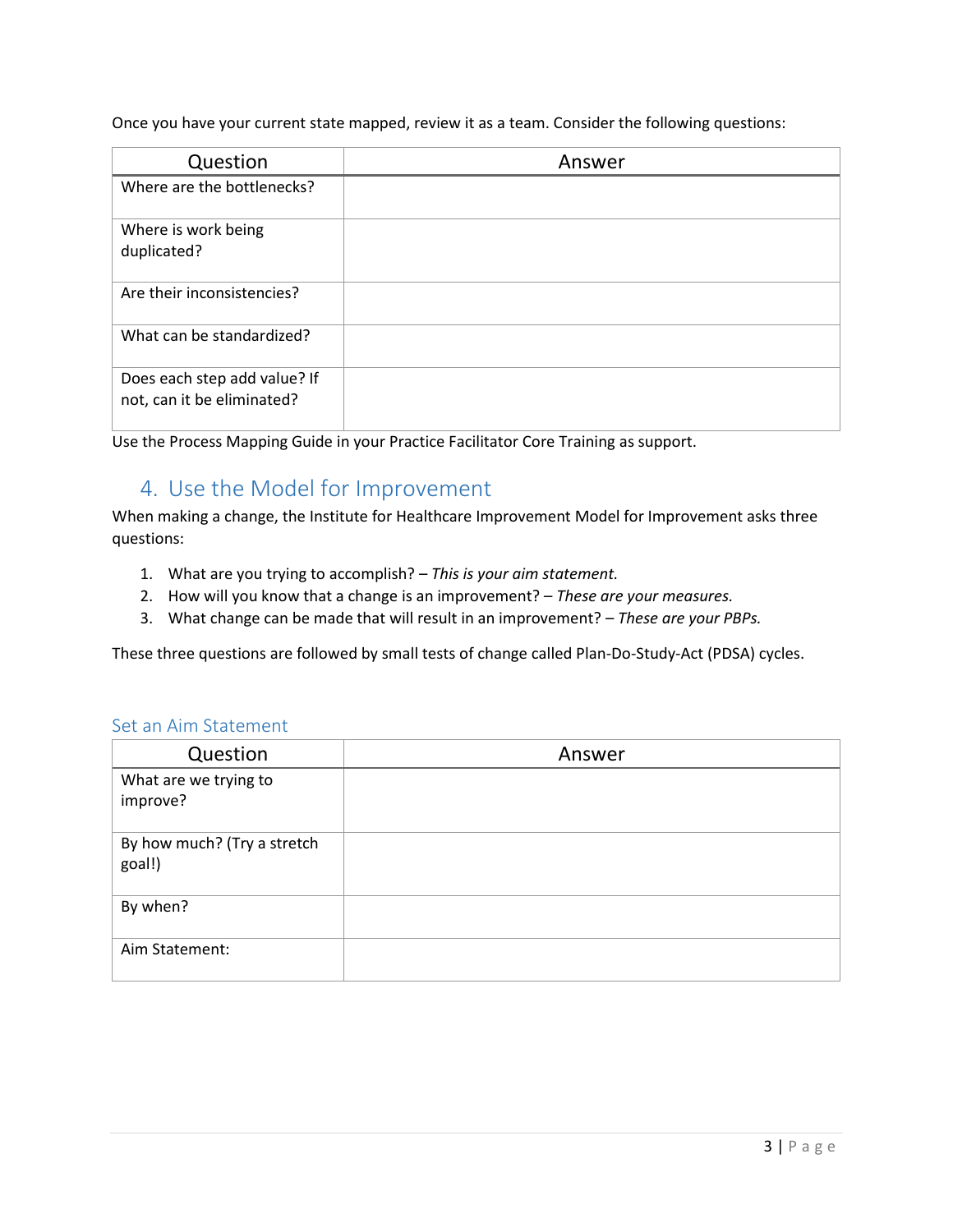Once you have your current state mapped, review it as a team. Consider the following questions:

| Question                                                   | Answer |  |
|------------------------------------------------------------|--------|--|
| Where are the bottlenecks?                                 |        |  |
| Where is work being<br>duplicated?                         |        |  |
| Are their inconsistencies?                                 |        |  |
| What can be standardized?                                  |        |  |
| Does each step add value? If<br>not, can it be eliminated? |        |  |

Use the Process Mapping Guide in your Practice Facilitator Core Training as support.

## 4. Use the Model for Improvement

When making a change, the Institute for Healthcare Improvement Model for Improvement asks three questions:

- 1. What are you trying to accomplish? *This is your aim statement.*
- 2. How will you know that a change is an improvement? *These are your measures.*
- 3. What change can be made that will result in an improvement? *These are your PBPs.*

These three questions are followed by small tests of change called Plan-Do-Study-Act (PDSA) cycles.

#### Set an Aim Statement

| Question                              | Answer |
|---------------------------------------|--------|
| What are we trying to<br>improve?     |        |
| By how much? (Try a stretch<br>goal!) |        |
| By when?                              |        |
| Aim Statement:                        |        |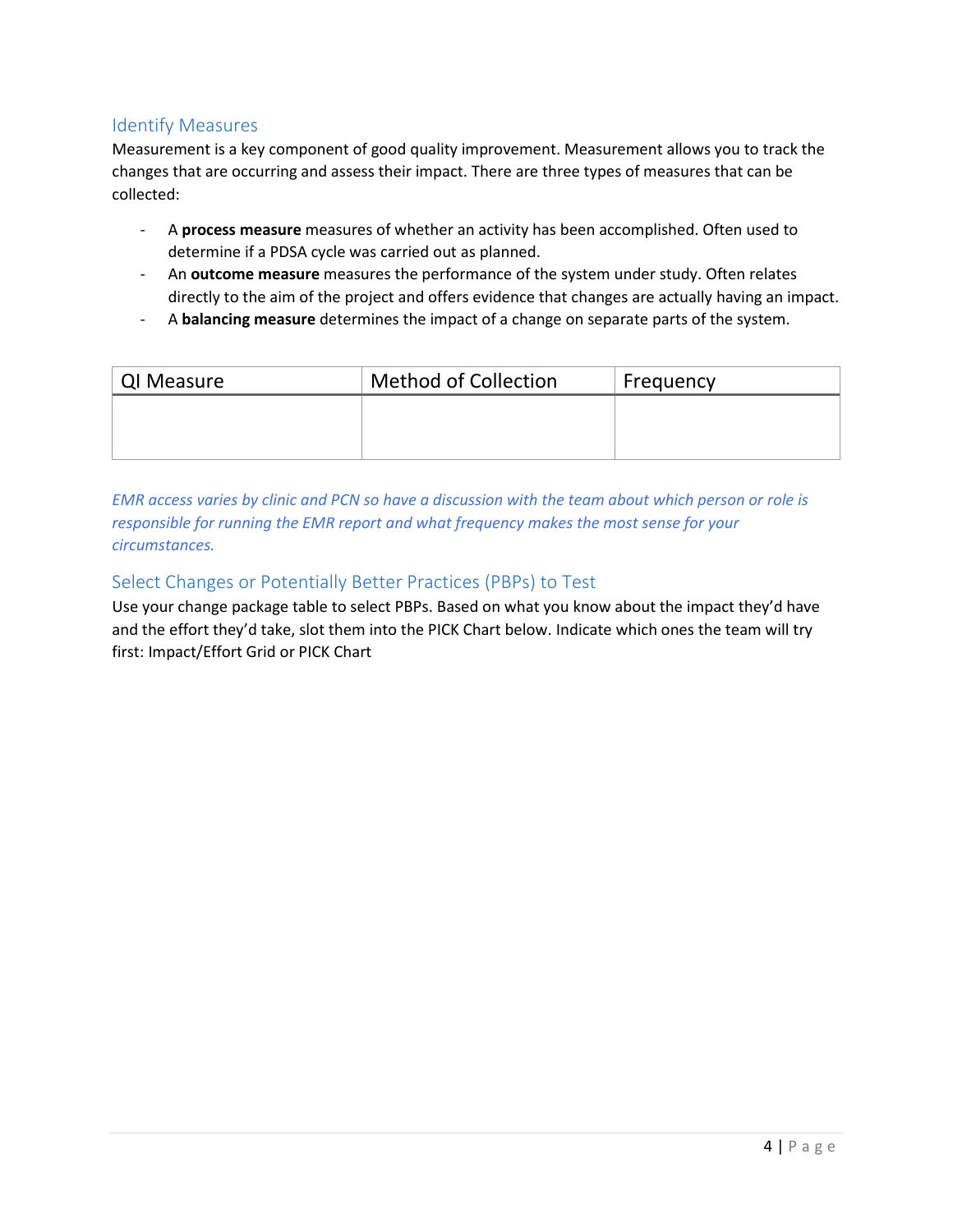#### Identify Measures

Measurement is a key component of good quality improvement. Measurement allows you to track the changes that are occurring and assess their impact. There are three types of measures that can be collected:

- A **process measure** measures of whether an activity has been accomplished. Often used to determine if a PDSA cycle was carried out as planned.
- An **outcome measure** measures the performance of the system under study. Often relates directly to the aim of the project and offers evidence that changes are actually having an impact.
- A **balancing measure** determines the impact of a change on separate parts of the system.

| QI Measure | <b>Method of Collection</b> | Frequency |
|------------|-----------------------------|-----------|
|            |                             |           |
|            |                             |           |
|            |                             |           |

*EMR access varies by clinic and PCN so have a discussion with the team about which person or role is responsible for running the EMR report and what frequency makes the most sense for your circumstances.*

#### Select Changes or Potentially Better Practices (PBPs) to Test

Use your change package table to select PBPs. Based on what you know about the impact they'd have and the effort they'd take, slot them into the PICK Chart below. Indicate which ones the team will try first: Impact/Effort Grid or PICK Chart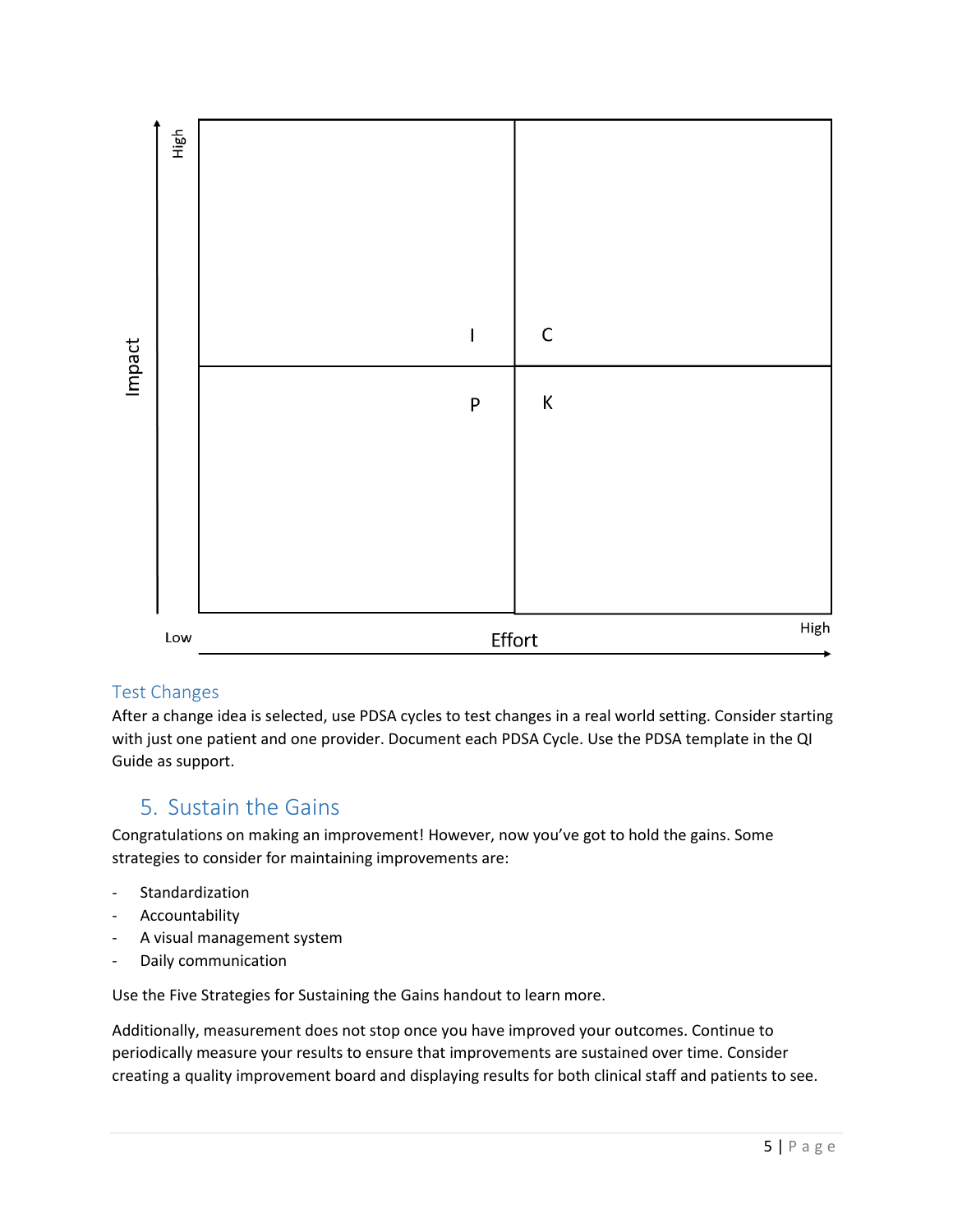

#### Test Changes

After a change idea is selected, use PDSA cycles to test changes in a real world setting. Consider starting with just one patient and one provider. Document each PDSA Cycle. Use the PDSA template in the QI Guide as support.

## 5. Sustain the Gains

Congratulations on making an improvement! However, now you've got to hold the gains. Some strategies to consider for maintaining improvements are:

- Standardization
- Accountability
- A visual management system
- Daily communication

Use the Five Strategies for Sustaining the Gains handout to learn more.

Additionally, measurement does not stop once you have improved your outcomes. Continue to periodically measure your results to ensure that improvements are sustained over time. Consider creating a quality improvement board and displaying results for both clinical staff and patients to see.